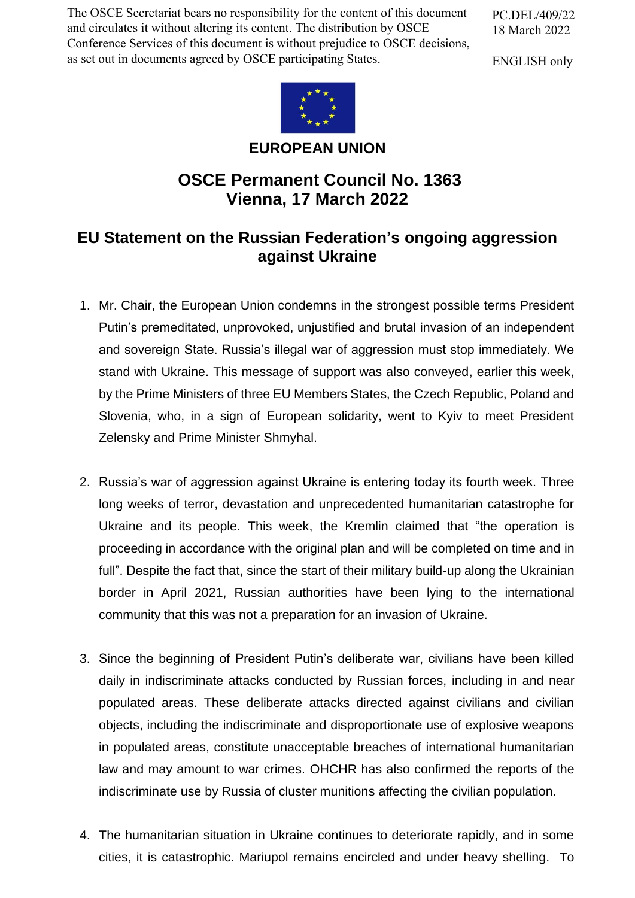The OSCE Secretariat bears no responsibility for the content of this document and circulates it without altering its content. The distribution by OSCE Conference Services of this document is without prejudice to OSCE decisions, as set out in documents agreed by OSCE participating States.

PC.DEL/409/22 18 March 2022

ENGLISH only



**EUROPEAN UNION**

## **OSCE Permanent Council No. 1363 Vienna, 17 March 2022**

## **EU Statement on the Russian Federation's ongoing aggression against Ukraine**

- 1. Mr. Chair, the European Union condemns in the strongest possible terms President Putin's premeditated, unprovoked, unjustified and brutal invasion of an independent and sovereign State. Russia's illegal war of aggression must stop immediately. We stand with Ukraine. This message of support was also conveyed, earlier this week, by the Prime Ministers of three EU Members States, the Czech Republic, Poland and Slovenia, who, in a sign of European solidarity, went to Kyiv to meet President Zelensky and Prime Minister Shmyhal.
- 2. Russia's war of aggression against Ukraine is entering today its fourth week. Three long weeks of terror, devastation and unprecedented humanitarian catastrophe for Ukraine and its people. This week, the Kremlin claimed that "the operation is proceeding in accordance with the original plan and will be completed on time and in full". Despite the fact that, since the start of their military build-up along the Ukrainian border in April 2021, Russian authorities have been lying to the international community that this was not a preparation for an invasion of Ukraine.
- 3. Since the beginning of President Putin's deliberate war, civilians have been killed daily in indiscriminate attacks conducted by Russian forces, including in and near populated areas. These deliberate attacks directed against civilians and civilian objects, including the indiscriminate and disproportionate use of explosive weapons in populated areas, constitute unacceptable breaches of international humanitarian law and may amount to war crimes. OHCHR has also confirmed the reports of the indiscriminate use by Russia of cluster munitions affecting the civilian population.
- 4. The humanitarian situation in Ukraine continues to deteriorate rapidly, and in some cities, it is catastrophic. Mariupol remains encircled and under heavy shelling. To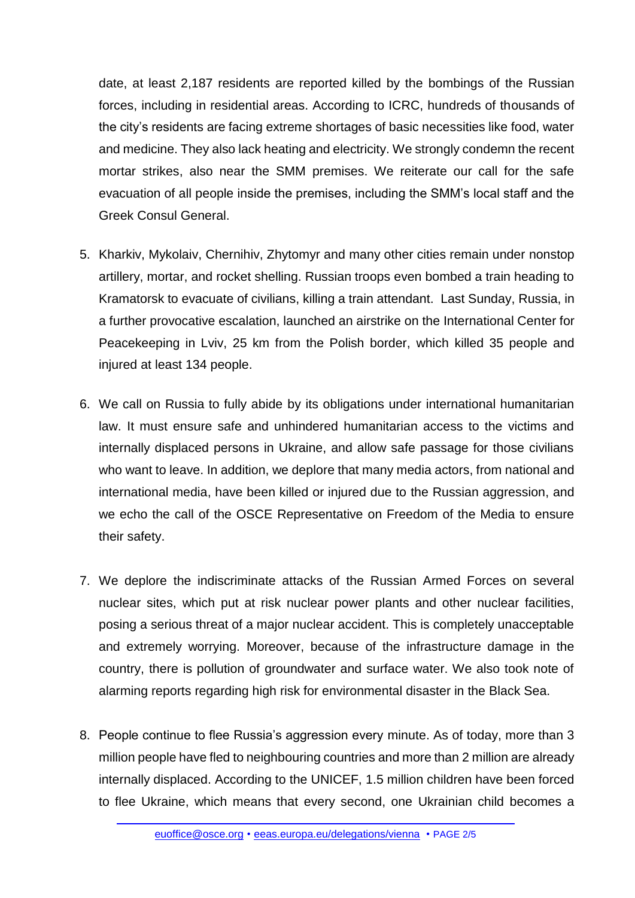date, at least 2,187 residents are reported killed by the bombings of the Russian forces, including in residential areas. According to ICRC, hundreds of thousands of the city's residents are facing extreme shortages of basic necessities like food, water and medicine. They also lack heating and electricity. We strongly condemn the recent mortar strikes, also near the SMM premises. We reiterate our call for the safe evacuation of all people inside the premises, including the SMM's local staff and the Greek Consul General.

- 5. Kharkiv, Mykolaiv, Chernihiv, Zhytomyr and many other cities remain under nonstop artillery, mortar, and rocket shelling. Russian troops even bombed a train heading to Kramatorsk to evacuate of civilians, killing a train attendant. Last Sunday, Russia, in a further provocative escalation, launched an airstrike on the International Center for Peacekeeping in Lviv, 25 km from the Polish border, which killed 35 people and injured at least 134 people.
- 6. We call on Russia to fully abide by its obligations under international humanitarian law. It must ensure safe and unhindered humanitarian access to the victims and internally displaced persons in Ukraine, and allow safe passage for those civilians who want to leave. In addition, we deplore that many media actors, from national and international media, have been killed or injured due to the Russian aggression, and we echo the call of the OSCE Representative on Freedom of the Media to ensure their safety.
- 7. We deplore the indiscriminate attacks of the Russian Armed Forces on several nuclear sites, which put at risk nuclear power plants and other nuclear facilities, posing a serious threat of a major nuclear accident. This is completely unacceptable and extremely worrying. Moreover, because of the infrastructure damage in the country, there is pollution of groundwater and surface water. We also took note of alarming reports regarding high risk for environmental disaster in the Black Sea.
- 8. People continue to flee Russia's aggression every minute. As of today, more than 3 million people have fled to neighbouring countries and more than 2 million are already internally displaced. According to the UNICEF, 1.5 million children have been forced to flee Ukraine, which means that every second, one Ukrainian child becomes a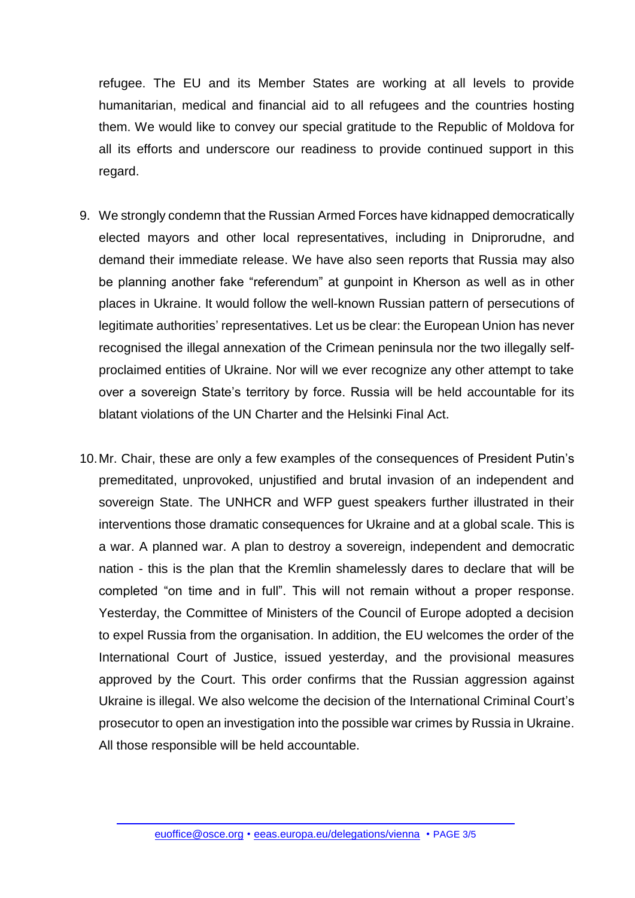refugee. The EU and its Member States are working at all levels to provide humanitarian, medical and financial aid to all refugees and the countries hosting them. We would like to convey our special gratitude to the Republic of Moldova for all its efforts and underscore our readiness to provide continued support in this regard.

- 9. We strongly condemn that the Russian Armed Forces have kidnapped democratically elected mayors and other local representatives, including in Dniprorudne, and demand their immediate release. We have also seen reports that Russia may also be planning another fake "referendum" at gunpoint in Kherson as well as in other places in Ukraine. It would follow the well-known Russian pattern of persecutions of legitimate authorities' representatives. Let us be clear: the European Union has never recognised the illegal annexation of the Crimean peninsula nor the two illegally selfproclaimed entities of Ukraine. Nor will we ever recognize any other attempt to take over a sovereign State's territory by force. Russia will be held accountable for its blatant violations of the UN Charter and the Helsinki Final Act.
- 10.Mr. Chair, these are only a few examples of the consequences of President Putin's premeditated, unprovoked, unjustified and brutal invasion of an independent and sovereign State. The UNHCR and WFP guest speakers further illustrated in their interventions those dramatic consequences for Ukraine and at a global scale. This is a war. A planned war. A plan to destroy a sovereign, independent and democratic nation - this is the plan that the Kremlin shamelessly dares to declare that will be completed "on time and in full". This will not remain without a proper response. Yesterday, the Committee of Ministers of the Council of Europe adopted a decision to expel Russia from the organisation. In addition, the EU welcomes the order of the International Court of Justice, issued yesterday, and the provisional measures approved by the Court. This order confirms that the Russian aggression against Ukraine is illegal. We also welcome the decision of the International Criminal Court's prosecutor to open an investigation into the possible war crimes by Russia in Ukraine. All those responsible will be held accountable.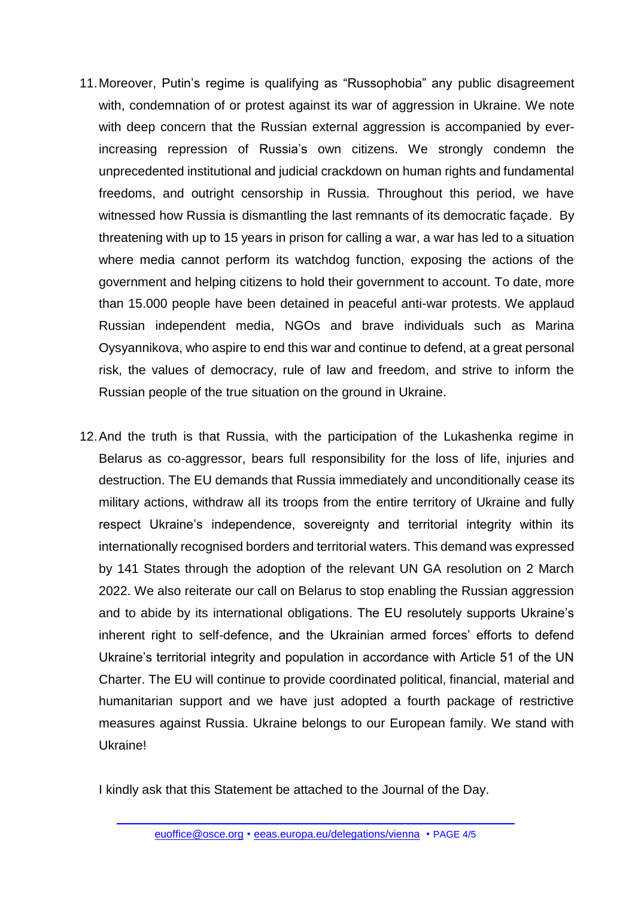- 11.Moreover, Putin's regime is qualifying as "Russophobia" any public disagreement with, condemnation of or protest against its war of aggression in Ukraine. We note with deep concern that the Russian external aggression is accompanied by everincreasing repression of Russia's own citizens. We strongly condemn the unprecedented institutional and judicial crackdown on human rights and fundamental freedoms, and outright censorship in Russia. Throughout this period, we have witnessed how Russia is dismantling the last remnants of its democratic façade. By threatening with up to 15 years in prison for calling a war, a war has led to a situation where media cannot perform its watchdog function, exposing the actions of the government and helping citizens to hold their government to account. To date, more than 15.000 people have been detained in peaceful anti-war protests. We applaud Russian independent media, NGOs and brave individuals such as Marina Oysyannikova, who aspire to end this war and continue to defend, at a great personal risk, the values of democracy, rule of law and freedom, and strive to inform the Russian people of the true situation on the ground in Ukraine.
- 12.And the truth is that Russia, with the participation of the Lukashenka regime in Belarus as co-aggressor, bears full responsibility for the loss of life, injuries and destruction. The EU demands that Russia immediately and unconditionally cease its military actions, withdraw all its troops from the entire territory of Ukraine and fully respect Ukraine's independence, sovereignty and territorial integrity within its internationally recognised borders and territorial waters. This demand was expressed by 141 States through the adoption of the relevant UN GA resolution on 2 March 2022. We also reiterate our call on Belarus to stop enabling the Russian aggression and to abide by its international obligations. The EU resolutely supports Ukraine's inherent right to self-defence, and the Ukrainian armed forces' efforts to defend Ukraine's territorial integrity and population in accordance with Article 51 of the UN Charter. The EU will continue to provide coordinated political, financial, material and humanitarian support and we have just adopted a fourth package of restrictive measures against Russia. Ukraine belongs to our European family. We stand with Ukraine!

I kindly ask that this Statement be attached to the Journal of the Day.

[euoffice@osce.org](mailto:euoffice@osce.org) • [eeas.europa.eu/delegations/vienna](http://eeas.europa.eu/delegations/vienna) • PAGE 4/5